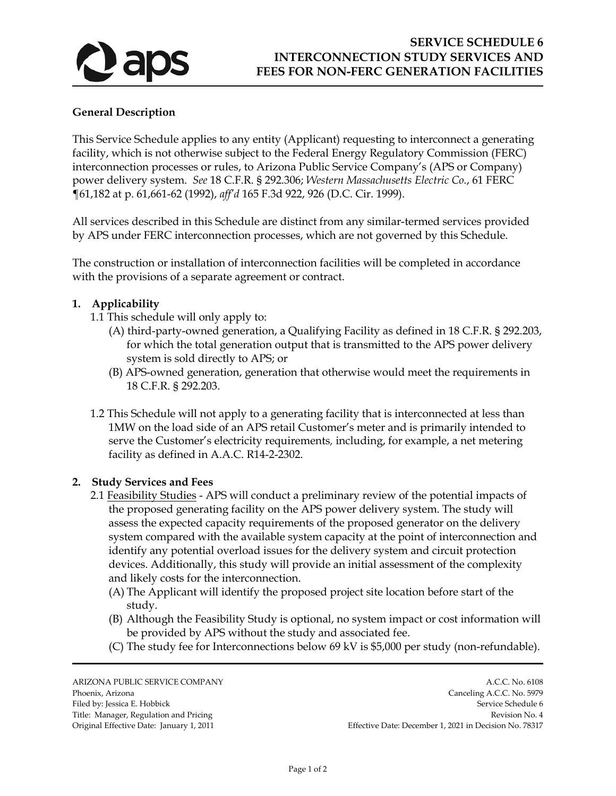

## **General Description**

This Service Schedule applies to any entity (Applicant) requesting to interconnect a generating facility, which is not otherwise subject to the Federal Energy Regulatory Commission (FERC) interconnection processes or rules, to Arizona Public Service Company's (APS or Company) power delivery system. *See* 18 C.F.R. § 292.306; *Western Massachusetts Electric Co.*, 61 FERC ¶61,182 at p. 61,661-62 (1992), *aff'd* 165 F.3d 922, 926 (D.C. Cir. 1999).

All services described in this Schedule are distinct from any similar-termed services provided by APS under FERC interconnection processes, which are not governed by this Schedule.

The construction or installation of interconnection facilities will be completed in accordance with the provisions of a separate agreement or contract.

## **1. Applicability**

- 1.1 This schedule will only apply to:
	- (A) third-party-owned generation, a Qualifying Facility as defined in 18 C.F.R. § 292.203, for which the total generation output that is transmitted to the APS power delivery system is sold directly to APS; or
	- (B) APS-owned generation, generation that otherwise would meet the requirements in 18 C.F.R. § 292.203.
- 1.2 This Schedule will not apply to a generating facility that is interconnected at less than 1MW on the load side of an APS retail Customer's meter and is primarily intended to serve the Customer's electricity requirements*,* including, for example, a net metering facility as defined in A.A.C. R14-2-2302.

## **2. Study Services and Fees**

- 2.1 Feasibility Studies APS will conduct a preliminary review of the potential impacts of the proposed generating facility on the APS power delivery system. The study will assess the expected capacity requirements of the proposed generator on the delivery system compared with the available system capacity at the point of interconnection and identify any potential overload issues for the delivery system and circuit protection devices. Additionally, this study will provide an initial assessment of the complexity and likely costs for the interconnection.
	- (A) The Applicant will identify the proposed project site location before start of the study.
	- (B) Although the Feasibility Study is optional, no system impact or cost information will be provided by APS without the study and associated fee.
	- (C) The study fee for Interconnections below 69 kV is \$5,000 per study (non-refundable).

ARIZONA PUBLIC SERVICE COMPANY A.C.C. No. 6108

Phoenix, Arizona Canceling A.C.C. No. 5979 Filed by: Jessica E. Hobbick Service Schedule 6 Title: Manager, Regulation and Pricing Revision No. 4 Original Effective Date: January 1, 2011 Effective Date: December 1, 2021 in Decision No. 78317